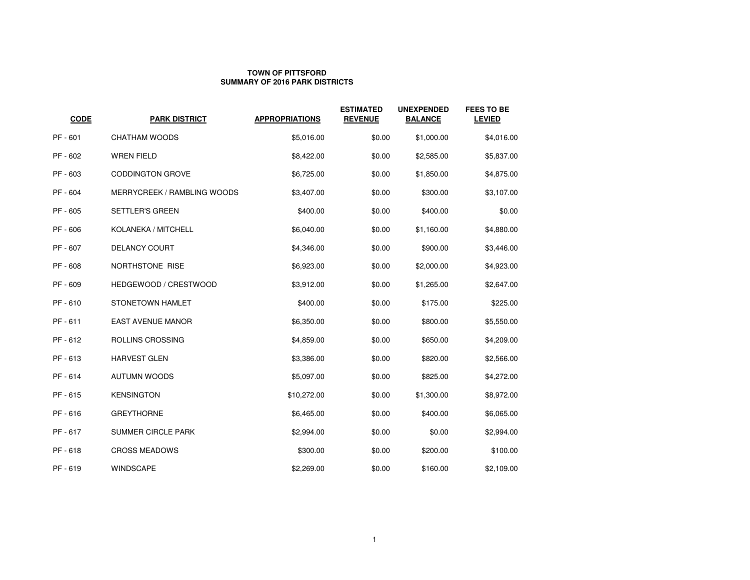### **TOWN OF PITTSFORDSUMMARY OF 2016 PARK DISTRICTS**

| <b>CODE</b> | <b>PARK DISTRICT</b>        | <b>APPROPRIATIONS</b> | <b>ESTIMATED</b><br><b>REVENUE</b> | <b>UNEXPENDED</b><br><b>BALANCE</b> | <b>FEES TO BE</b><br><b>LEVIED</b> |
|-------------|-----------------------------|-----------------------|------------------------------------|-------------------------------------|------------------------------------|
| PF - 601    | CHATHAM WOODS               | \$5,016.00            | \$0.00                             | \$1,000.00                          | \$4,016.00                         |
| PF - 602    | <b>WREN FIELD</b>           | \$8,422.00            | \$0.00                             | \$2,585.00                          | \$5,837.00                         |
| PF - 603    | <b>CODDINGTON GROVE</b>     | \$6,725.00            | \$0.00                             | \$1,850.00                          | \$4,875.00                         |
| PF - 604    | MERRYCREEK / RAMBLING WOODS | \$3,407.00            | \$0.00                             | \$300.00                            | \$3,107.00                         |
| PF - 605    | SETTLER'S GREEN             | \$400.00              | \$0.00                             | \$400.00                            | \$0.00                             |
| PF - 606    | KOLANEKA / MITCHELL         | \$6,040.00            | \$0.00                             | \$1,160.00                          | \$4,880.00                         |
| PF - 607    | <b>DELANCY COURT</b>        | \$4,346.00            | \$0.00                             | \$900.00                            | \$3,446.00                         |
| PF - 608    | NORTHSTONE RISE             | \$6,923.00            | \$0.00                             | \$2,000.00                          | \$4,923.00                         |
| PF - 609    | HEDGEWOOD / CRESTWOOD       | \$3,912.00            | \$0.00                             | \$1,265.00                          | \$2,647.00                         |
| PF - 610    | STONETOWN HAMLET            | \$400.00              | \$0.00                             | \$175.00                            | \$225.00                           |
| PF - 611    | <b>EAST AVENUE MANOR</b>    | \$6,350.00            | \$0.00                             | \$800.00                            | \$5,550.00                         |
| PF - 612    | ROLLINS CROSSING            | \$4,859.00            | \$0.00                             | \$650.00                            | \$4,209.00                         |
| PF - 613    | <b>HARVEST GLEN</b>         | \$3,386.00            | \$0.00                             | \$820.00                            | \$2,566.00                         |
| PF - 614    | <b>AUTUMN WOODS</b>         | \$5,097.00            | \$0.00                             | \$825.00                            | \$4,272.00                         |
| PF-615      | <b>KENSINGTON</b>           | \$10,272.00           | \$0.00                             | \$1,300.00                          | \$8,972.00                         |
| PF - 616    | <b>GREYTHORNE</b>           | \$6,465.00            | \$0.00                             | \$400.00                            | \$6,065.00                         |
| PF - 617    | <b>SUMMER CIRCLE PARK</b>   | \$2,994.00            | \$0.00                             | \$0.00                              | \$2,994.00                         |
| PF-618      | <b>CROSS MEADOWS</b>        | \$300.00              | \$0.00                             | \$200.00                            | \$100.00                           |
| PF - 619    | <b>WINDSCAPE</b>            | \$2,269.00            | \$0.00                             | \$160.00                            | \$2,109.00                         |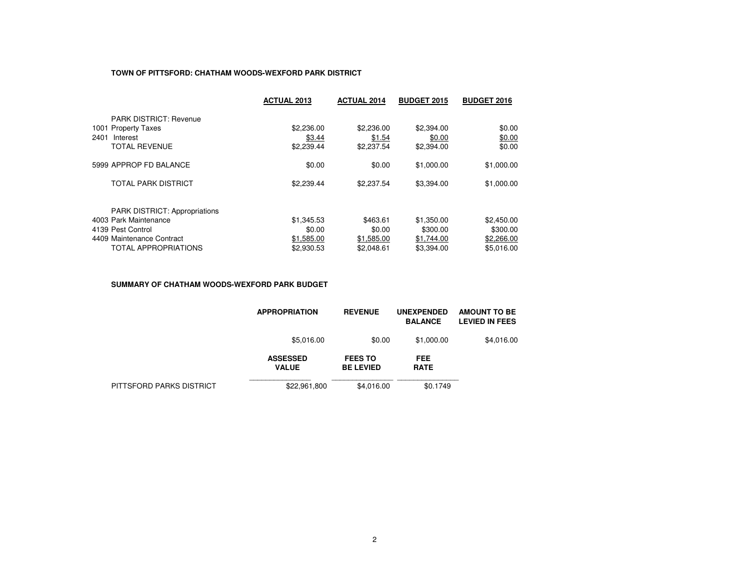### **TOWN OF PITTSFORD: CHATHAM WOODS-WEXFORD PARK DISTRICT**

|                                      | <b>ACTUAL 2013</b> | <b>ACTUAL 2014</b> | <b>BUDGET 2015</b> | <b>BUDGET 2016</b> |
|--------------------------------------|--------------------|--------------------|--------------------|--------------------|
| <b>PARK DISTRICT: Revenue</b>        |                    |                    |                    |                    |
| 1001 Property Taxes                  | \$2,236.00         | \$2,236,00         | \$2,394.00         | \$0.00             |
| 2401<br>Interest                     | \$3.44             | \$1.54             | \$0.00             | \$0.00             |
| <b>TOTAL REVENUE</b>                 | \$2,239.44         | \$2,237.54         | \$2,394.00         | \$0.00             |
| 5999 APPROP FD BALANCE               | \$0.00             | \$0.00             | \$1,000.00         | \$1,000.00         |
| TOTAL PARK DISTRICT                  | \$2,239.44         | \$2,237.54         | \$3,394.00         | \$1,000.00         |
| <b>PARK DISTRICT: Appropriations</b> |                    |                    |                    |                    |
| 4003 Park Maintenance                | \$1,345.53         | \$463.61           | \$1,350.00         | \$2,450.00         |
| 4139 Pest Control                    | \$0.00             | \$0.00             | \$300.00           | \$300.00           |
| 4409 Maintenance Contract            | \$1,585.00         | \$1,585.00         | \$1,744.00         | \$2,266.00         |
| <b>TOTAL APPROPRIATIONS</b>          | \$2,930.53         | \$2.048.61         | \$3.394.00         | \$5.016.00         |

#### **SUMMARY OF CHATHAM WOODS-WEXFORD PARK BUDGET**

|                          | <b>APPROPRIATION</b>            | <b>REVENUE</b>                     | <b>UNEXPENDED</b><br><b>BALANCE</b> | <b>AMOUNT TO BE</b><br><b>LEVIED IN FEES</b> |
|--------------------------|---------------------------------|------------------------------------|-------------------------------------|----------------------------------------------|
|                          | \$5,016.00                      | \$0.00                             | \$1,000.00                          | \$4,016.00                                   |
|                          | <b>ASSESSED</b><br><b>VALUE</b> | <b>FEES TO</b><br><b>BE LEVIED</b> | FEE.<br><b>RATE</b>                 |                                              |
| PITTSFORD PARKS DISTRICT | \$22,961,800                    | \$4.016.00                         | \$0.1749                            |                                              |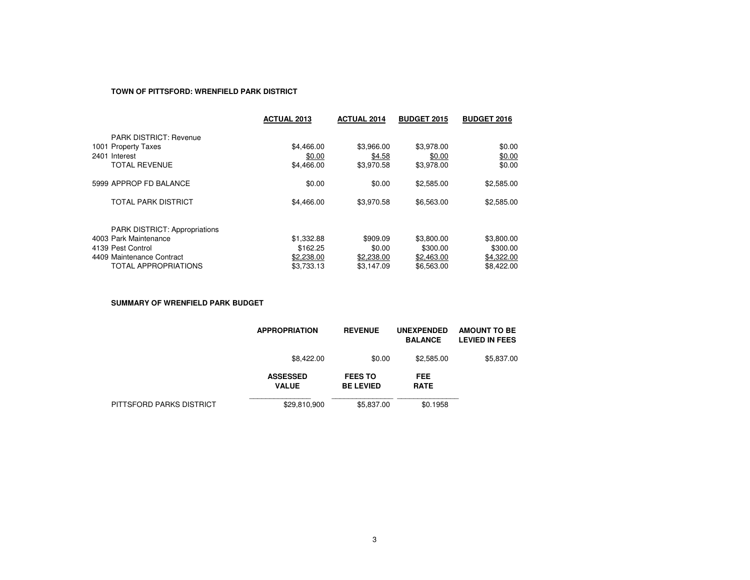### **TOWN OF PITTSFORD: WRENFIELD PARK DISTRICT**

|                                                               | <b>ACTUAL 2013</b> | <b>ACTUAL 2014</b> | <b>BUDGET 2015</b> | <b>BUDGET 2016</b> |
|---------------------------------------------------------------|--------------------|--------------------|--------------------|--------------------|
| <b>PARK DISTRICT: Revenue</b>                                 |                    |                    |                    |                    |
| 1001 Property Taxes                                           | \$4,466.00         | \$3.966.00         | \$3.978.00         | \$0.00             |
| 2401 Interest                                                 | \$0.00             | \$4.58             | \$0.00             | \$0.00             |
| <b>TOTAL REVENUE</b>                                          | \$4,466.00         | \$3,970.58         | \$3,978.00         | \$0.00             |
| 5999 APPROP FD BALANCE                                        | \$0.00             | \$0.00             | \$2,585.00         | \$2,585.00         |
| TOTAL PARK DISTRICT                                           | \$4,466.00         | \$3.970.58         | \$6,563.00         | \$2,585.00         |
|                                                               |                    |                    |                    |                    |
| <b>PARK DISTRICT: Appropriations</b><br>4003 Park Maintenance | \$1,332.88         | \$909.09           | \$3,800.00         | \$3,800.00         |
| 4139 Pest Control                                             | \$162.25           | \$0.00             | \$300.00           | \$300.00           |
| 4409 Maintenance Contract                                     | \$2,238.00         | \$2,238.00         | \$2,463.00         | \$4,322.00         |
| <b>TOTAL APPROPRIATIONS</b>                                   | \$3.733.13         | \$3,147.09         | \$6,563,00         | \$8,422,00         |

**SUMMARY OF WRENFIELD PARK BUDGET**

|                          | <b>APPROPRIATION</b>            | <b>REVENUE</b>                     | <b>UNEXPENDED</b><br><b>BALANCE</b> | <b>AMOUNT TO BE</b><br><b>LEVIED IN FEES</b> |
|--------------------------|---------------------------------|------------------------------------|-------------------------------------|----------------------------------------------|
|                          | \$8.422.00                      | \$0.00                             | \$2,585.00                          | \$5,837.00                                   |
|                          | <b>ASSESSED</b><br><b>VALUE</b> | <b>FEES TO</b><br><b>BE LEVIED</b> | <b>FEE</b><br><b>RATE</b>           |                                              |
| PITTSFORD PARKS DISTRICT | \$29,810,900                    | \$5,837.00                         | \$0.1958                            |                                              |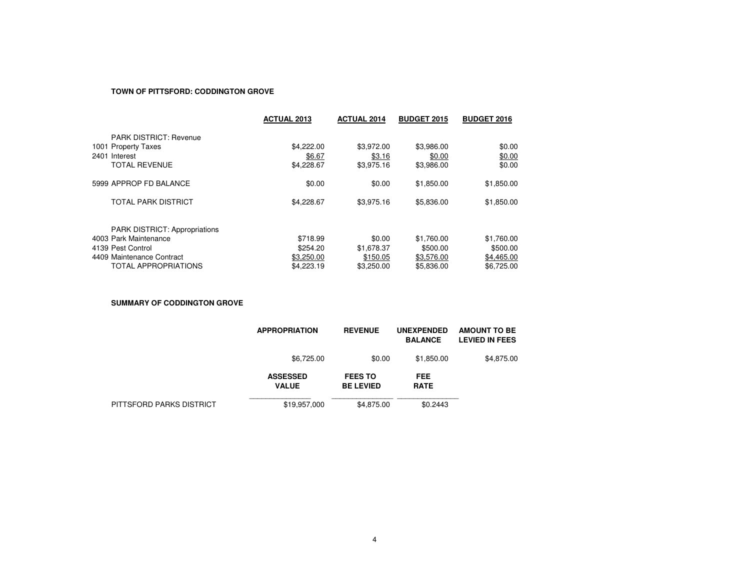### **TOWN OF PITTSFORD: CODDINGTON GROVE**

|                                      | <b>ACTUAL 2013</b> | <b>ACTUAL 2014</b> | <b>BUDGET 2015</b> | <b>BUDGET 2016</b> |
|--------------------------------------|--------------------|--------------------|--------------------|--------------------|
| <b>PARK DISTRICT: Revenue</b>        |                    |                    |                    |                    |
| 1001 Property Taxes                  | \$4,222,00         | \$3.972.00         | \$3.986.00         | \$0.00             |
| 2401 Interest                        | \$6.67             | \$3.16             | \$0.00             | \$0.00             |
| <b>TOTAL REVENUE</b>                 | \$4,228.67         | \$3,975.16         | \$3,986.00         | \$0.00             |
| 5999 APPROP FD BALANCE               | \$0.00             | \$0.00             | \$1,850.00         | \$1,850.00         |
| TOTAL PARK DISTRICT                  | \$4,228.67         | \$3.975.16         | \$5,836,00         | \$1,850.00         |
| <b>PARK DISTRICT: Appropriations</b> |                    |                    |                    |                    |
| 4003 Park Maintenance                | \$718.99           | \$0.00             | \$1.760.00         | \$1,760.00         |
| 4139 Pest Control                    | \$254.20           | \$1,678.37         | \$500.00           | \$500.00           |
| 4409 Maintenance Contract            | \$3,250.00         | \$150.05           | \$3,576.00         | \$4,465.00         |
| <b>TOTAL APPROPRIATIONS</b>          | \$4,223.19         | \$3,250,00         | \$5.836.00         | \$6,725,00         |

**SUMMARY OF CODDINGTON GROVE**

|                          | <b>APPROPRIATION</b>            | <b>REVENUE</b>                     | <b>UNEXPENDED</b><br><b>BALANCE</b> | <b>AMOUNT TO BE</b><br><b>LEVIED IN FEES</b> |
|--------------------------|---------------------------------|------------------------------------|-------------------------------------|----------------------------------------------|
|                          | \$6,725.00                      | \$0.00                             | \$1.850.00                          | \$4,875.00                                   |
|                          | <b>ASSESSED</b><br><b>VALUE</b> | <b>FEES TO</b><br><b>BE LEVIED</b> | <b>FEE</b><br><b>RATE</b>           |                                              |
| PITTSFORD PARKS DISTRICT | \$19,957,000                    | \$4,875.00                         | \$0.2443                            |                                              |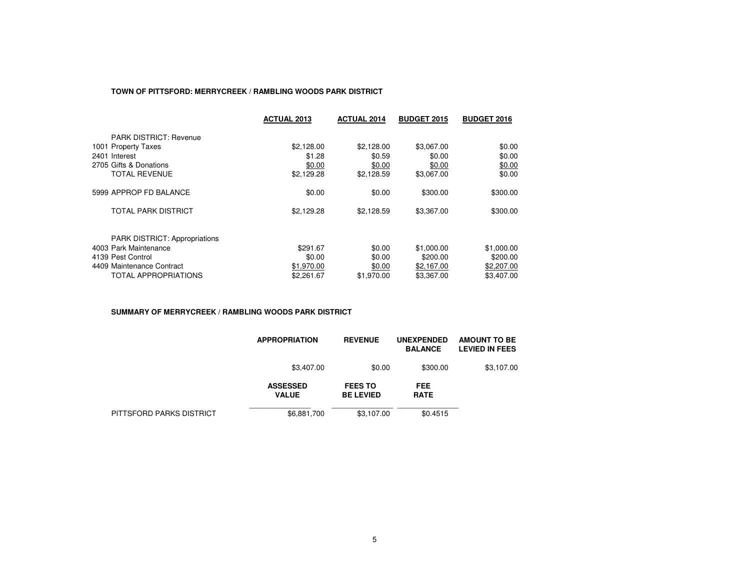### **TOWN OF PITTSFORD: MERRYCREEK / RAMBLING WOODS PARK DISTRICT**

|                                      | <b>ACTUAL 2013</b> | <b>ACTUAL 2014</b> | <b>BUDGET 2015</b> | <b>BUDGET 2016</b> |
|--------------------------------------|--------------------|--------------------|--------------------|--------------------|
| <b>PARK DISTRICT: Revenue</b>        |                    |                    |                    |                    |
| 1001 Property Taxes                  | \$2,128.00         | \$2,128.00         | \$3,067.00         | \$0.00             |
| 2401 Interest                        | \$1.28             | \$0.59             | \$0.00             | \$0.00             |
| 2705 Gifts & Donations               | \$0.00             | \$0.00             | \$0.00             | \$0.00             |
| TOTAL REVENUE                        | \$2,129.28         | \$2,128.59         | \$3,067.00         | \$0.00             |
| 5999 APPROP FD BALANCE               | \$0.00             | \$0.00             | \$300.00           | \$300.00           |
| TOTAL PARK DISTRICT                  | \$2,129.28         | \$2,128.59         | \$3,367.00         | \$300.00           |
| <b>PARK DISTRICT: Appropriations</b> |                    |                    |                    |                    |
| 4003 Park Maintenance                | \$291.67           | \$0.00             | \$1,000.00         | \$1,000.00         |
| 4139 Pest Control                    | \$0.00             | \$0.00             | \$200.00           | \$200.00           |
| 4409 Maintenance Contract            | \$1,970.00         | \$0.00             | \$2,167.00         | \$2,207.00         |
| TOTAL APPROPRIATIONS                 | \$2,261.67         | \$1,970.00         | \$3.367.00         | \$3,407.00         |

#### **SUMMARY OF MERRYCREEK / RAMBLING WOODS PARK DISTRICT**

|                          | <b>APPROPRIATION</b>            | <b>REVENUE</b>                     | <b>UNEXPENDED</b><br><b>BALANCE</b> | <b>AMOUNT TO BE</b><br><b>LEVIED IN FEES</b> |
|--------------------------|---------------------------------|------------------------------------|-------------------------------------|----------------------------------------------|
|                          | \$3,407.00                      | \$0.00                             | \$300.00                            | \$3,107.00                                   |
|                          | <b>ASSESSED</b><br><b>VALUE</b> | <b>FEES TO</b><br><b>BE LEVIED</b> | <b>FEE</b><br><b>RATE</b>           |                                              |
| PITTSFORD PARKS DISTRICT | \$6,881,700                     | \$3,107.00                         | \$0.4515                            |                                              |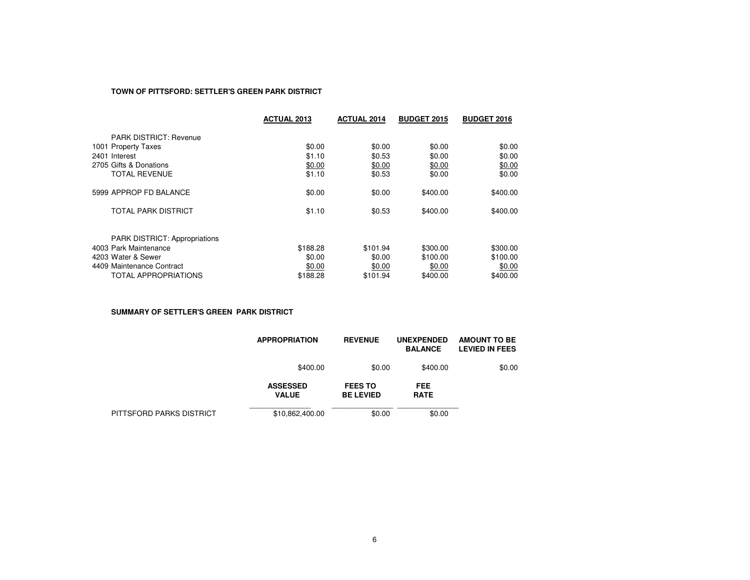### **TOWN OF PITTSFORD: SETTLER'S GREEN PARK DISTRICT**

|                                      | <b>ACTUAL 2013</b> | <b>ACTUAL 2014</b> | <b>BUDGET 2015</b> | <b>BUDGET 2016</b> |
|--------------------------------------|--------------------|--------------------|--------------------|--------------------|
| <b>PARK DISTRICT: Revenue</b>        |                    |                    |                    |                    |
| 1001 Property Taxes                  | \$0.00             | \$0.00             | \$0.00             | \$0.00             |
| 2401 Interest                        | \$1.10             | \$0.53             | \$0.00             | \$0.00             |
| 2705 Gifts & Donations               | \$0.00             | \$0.00             | \$0.00             | \$0.00             |
| <b>TOTAL REVENUE</b>                 | \$1.10             | \$0.53             | \$0.00             | \$0.00             |
| 5999 APPROP FD BALANCE               | \$0.00             | \$0.00             | \$400.00           | \$400.00           |
| TOTAL PARK DISTRICT                  | \$1.10             | \$0.53             | \$400.00           | \$400.00           |
| <b>PARK DISTRICT: Appropriations</b> |                    |                    |                    |                    |
| 4003 Park Maintenance                | \$188.28           | \$101.94           | \$300.00           | \$300.00           |
| 4203 Water & Sewer                   | \$0.00             | \$0.00             | \$100.00           | \$100.00           |
| 4409 Maintenance Contract            | \$0.00             | \$0.00             | \$0.00             | \$0.00             |
| TOTAL APPROPRIATIONS                 | \$188.28           | \$101.94           | \$400.00           | \$400.00           |

**SUMMARY OF SETTLER'S GREEN PARK DISTRICT**

|                          | <b>APPROPRIATION</b>            | <b>REVENUE</b>                     | <b>UNEXPENDED</b><br><b>BALANCE</b> | <b>AMOUNT TO BE</b><br><b>LEVIED IN FEES</b> |
|--------------------------|---------------------------------|------------------------------------|-------------------------------------|----------------------------------------------|
|                          | \$400.00                        | \$0.00                             | \$400.00                            | \$0.00                                       |
|                          | <b>ASSESSED</b><br><b>VALUE</b> | <b>FEES TO</b><br><b>BE LEVIED</b> | <b>FEE</b><br><b>RATE</b>           |                                              |
| PITTSFORD PARKS DISTRICT | \$10,862,400.00                 | \$0.00                             | \$0.00                              |                                              |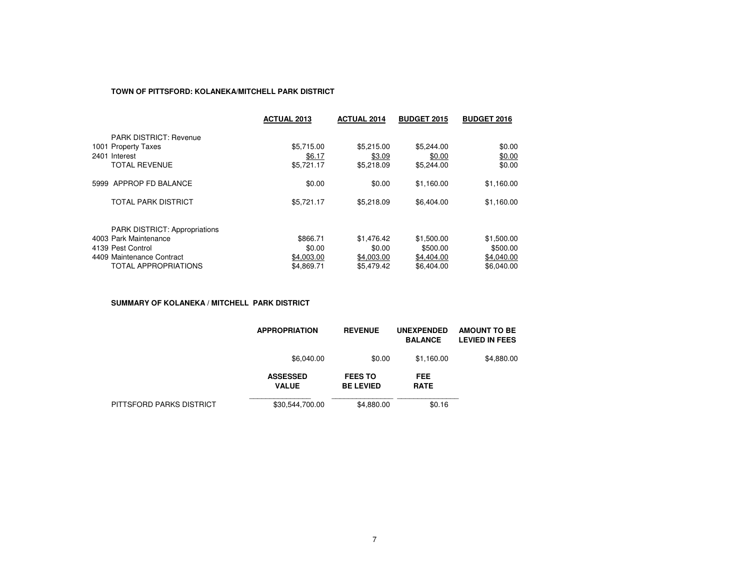### **TOWN OF PITTSFORD: KOLANEKA/MITCHELL PARK DISTRICT**

|                                      | <b>ACTUAL 2013</b> | <b>ACTUAL 2014</b> | <b>BUDGET 2015</b> | <b>BUDGET 2016</b> |
|--------------------------------------|--------------------|--------------------|--------------------|--------------------|
| <b>PARK DISTRICT: Revenue</b>        |                    |                    |                    |                    |
| 1001 Property Taxes                  | \$5,715.00         | \$5.215.00         | \$5,244.00         | \$0.00             |
| 2401 Interest                        | \$6.17             | \$3.09             | \$0.00             | \$0.00             |
| <b>TOTAL REVENUE</b>                 | \$5,721.17         | \$5.218.09         | \$5,244.00         | \$0.00             |
| 5999 APPROP FD BALANCE               | \$0.00             | \$0.00             | \$1,160.00         | \$1,160.00         |
| TOTAL PARK DISTRICT                  | \$5,721.17         | \$5,218.09         | \$6,404.00         | \$1,160.00         |
| <b>PARK DISTRICT: Appropriations</b> |                    |                    |                    |                    |
| 4003 Park Maintenance                | \$866.71           | \$1.476.42         | \$1,500.00         | \$1,500.00         |
| 4139 Pest Control                    | \$0.00             | \$0.00             | \$500.00           | \$500.00           |
| 4409 Maintenance Contract            | \$4,003.00         | \$4,003.00         | \$4,404.00         | \$4.040.00         |
| <b>TOTAL APPROPRIATIONS</b>          | \$4,869.71         | \$5,479.42         | \$6,404.00         | \$6.040.00         |

**SUMMARY OF KOLANEKA / MITCHELL PARK DISTRICT**

|                          | <b>APPROPRIATION</b>            | <b>REVENUE</b>                     | <b>UNEXPENDED</b><br><b>BALANCE</b> | <b>AMOUNT TO BE</b><br><b>LEVIED IN FEES</b> |
|--------------------------|---------------------------------|------------------------------------|-------------------------------------|----------------------------------------------|
|                          | \$6,040.00                      | \$0.00                             | \$1.160.00                          | \$4,880.00                                   |
|                          | <b>ASSESSED</b><br><b>VALUE</b> | <b>FEES TO</b><br><b>BE LEVIED</b> | <b>FEE</b><br><b>RATE</b>           |                                              |
| PITTSFORD PARKS DISTRICT | \$30,544,700.00                 | \$4,880.00                         | \$0.16                              |                                              |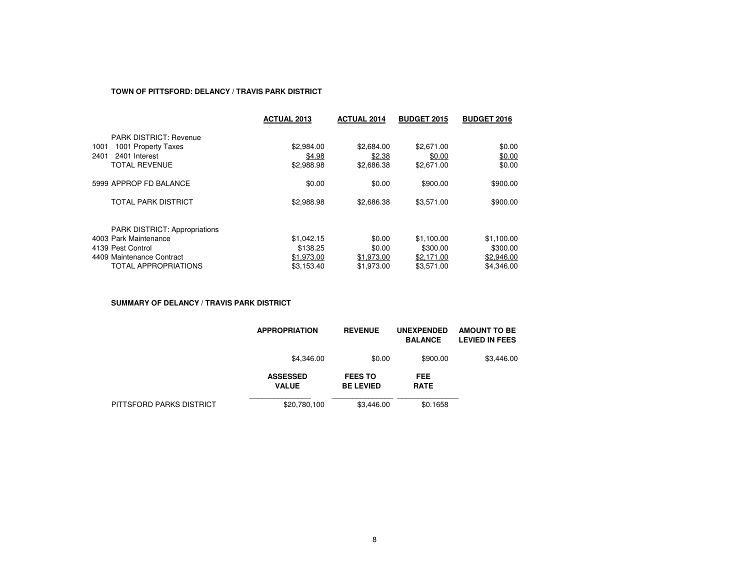### **TOWN OF PITTSFORD: DELANCY / TRAVIS PARK DISTRICT**

|                                                               | <b>ACTUAL 2013</b> | <b>ACTUAL 2014</b> | <b>BUDGET 2015</b> | <b>BUDGET 2016</b> |
|---------------------------------------------------------------|--------------------|--------------------|--------------------|--------------------|
| <b>PARK DISTRICT: Revenue</b>                                 |                    |                    |                    |                    |
| 1001 Property Taxes<br>1001                                   | \$2,984.00         | \$2,684.00         | \$2,671.00         | \$0.00             |
| 2401<br>2401 Interest                                         | \$4.98             | \$2.38             | \$0.00             | \$0.00             |
| <b>TOTAL REVENUE</b>                                          | \$2,988.98         | \$2,686.38         | \$2,671.00         | \$0.00             |
| 5999 APPROP FD BALANCE                                        | \$0.00             | \$0.00             | \$900.00           | \$900.00           |
| <b>TOTAL PARK DISTRICT</b>                                    | \$2,988.98         | \$2,686.38         | \$3,571.00         | \$900.00           |
|                                                               |                    |                    |                    |                    |
| <b>PARK DISTRICT: Appropriations</b><br>4003 Park Maintenance | \$1,042.15         | \$0.00             | \$1,100.00         | \$1,100.00         |
| 4139 Pest Control                                             | \$138.25           | \$0.00             | \$300.00           | \$300.00           |
| 4409 Maintenance Contract                                     | \$1,973.00         | \$1,973.00         | \$2.171.00         | \$2,946.00         |
| <b>TOTAL APPROPRIATIONS</b>                                   | \$3.153.40         | \$1,973.00         | \$3.571.00         | \$4.346.00         |

**SUMMARY OF DELANCY / TRAVIS PARK DISTRICT**

|                          | <b>APPROPRIATION</b>            | <b>REVENUE</b>                     | <b>UNEXPENDED</b><br><b>BALANCE</b> | <b>AMOUNT TO BE</b><br><b>LEVIED IN FEES</b> |
|--------------------------|---------------------------------|------------------------------------|-------------------------------------|----------------------------------------------|
|                          | \$4,346.00                      | \$0.00                             | \$900.00                            | \$3,446.00                                   |
|                          | <b>ASSESSED</b><br><b>VALUE</b> | <b>FEES TO</b><br><b>BE LEVIED</b> | FEE<br><b>RATE</b>                  |                                              |
| PITTSFORD PARKS DISTRICT | \$20,780,100                    | \$3,446.00                         | \$0.1658                            |                                              |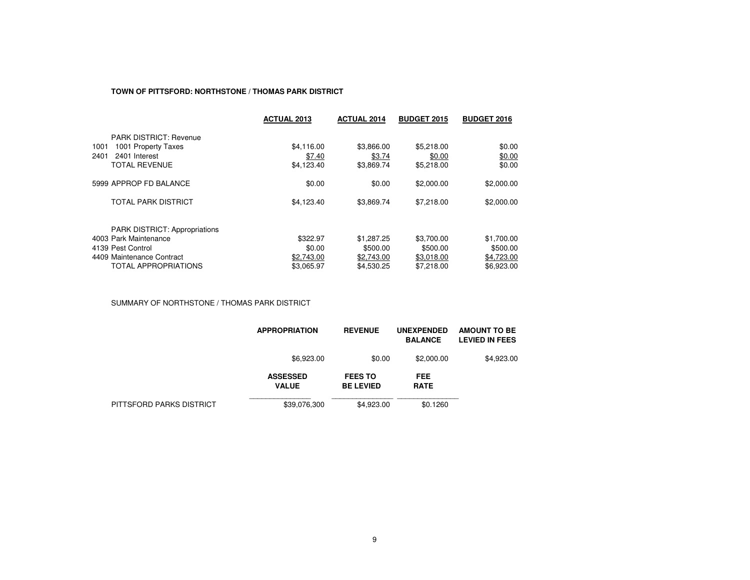#### **TOWN OF PITTSFORD: NORTHSTONE / THOMAS PARK DISTRICT**

|                                      | <b>ACTUAL 2013</b> | <b>ACTUAL 2014</b> | <b>BUDGET 2015</b> | <b>BUDGET 2016</b> |
|--------------------------------------|--------------------|--------------------|--------------------|--------------------|
| <b>PARK DISTRICT: Revenue</b>        |                    |                    |                    |                    |
| 1001 Property Taxes<br>1001          | \$4,116.00         | \$3,866.00         | \$5,218.00         | \$0.00             |
| 2401<br>2401 Interest                | \$7.40             | \$3.74             | \$0.00             | \$0.00             |
| <b>TOTAL REVENUE</b>                 | \$4,123.40         | \$3,869.74         | \$5,218,00         | \$0.00             |
| 5999 APPROP FD BALANCE               | \$0.00             | \$0.00             | \$2,000.00         | \$2,000.00         |
| <b>TOTAL PARK DISTRICT</b>           | \$4,123.40         | \$3,869.74         | \$7,218.00         | \$2,000.00         |
| <b>PARK DISTRICT: Appropriations</b> |                    |                    |                    |                    |
| 4003 Park Maintenance                | \$322.97           | \$1,287.25         | \$3,700.00         | \$1,700.00         |
| 4139 Pest Control                    | \$0.00             | \$500.00           | \$500.00           | \$500.00           |
| 4409 Maintenance Contract            | \$2,743.00         | \$2,743.00         | \$3.018.00         | \$4.723.00         |
| <b>TOTAL APPROPRIATIONS</b>          | \$3.065.97         | \$4,530.25         | \$7,218,00         | \$6,923,00         |

SUMMARY OF NORTHSTONE / THOMAS PARK DISTRICT

|                          | <b>APPROPRIATION</b>            | <b>REVENUE</b>                     | <b>UNEXPENDED</b><br><b>BALANCE</b> | <b>AMOUNT TO BE</b><br><b>LEVIED IN FEES</b> |
|--------------------------|---------------------------------|------------------------------------|-------------------------------------|----------------------------------------------|
|                          | \$6,923.00                      | \$0.00                             | \$2,000.00                          | \$4,923.00                                   |
|                          | <b>ASSESSED</b><br><b>VALUE</b> | <b>FEES TO</b><br><b>BE LEVIED</b> | FEE<br><b>RATE</b>                  |                                              |
| PITTSFORD PARKS DISTRICT | \$39,076,300                    | \$4,923.00                         | \$0.1260                            |                                              |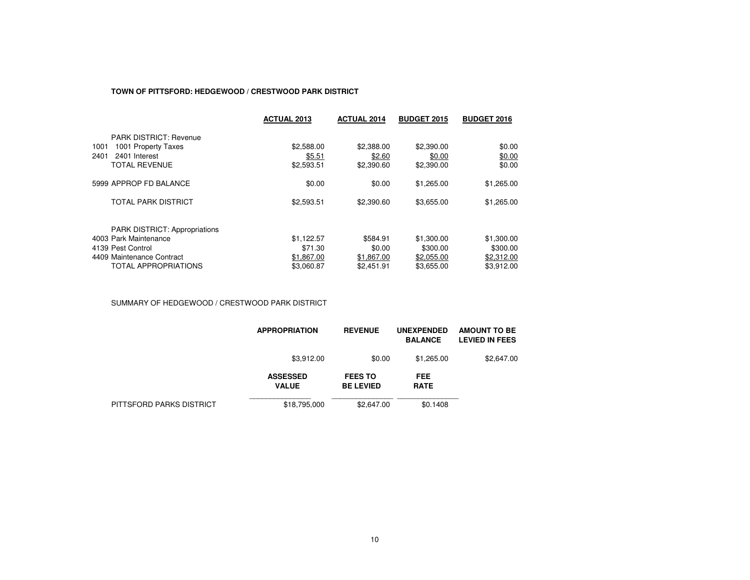### **TOWN OF PITTSFORD: HEDGEWOOD / CRESTWOOD PARK DISTRICT**

|                                      | <b>ACTUAL 2013</b> | <b>ACTUAL 2014</b> | <b>BUDGET 2015</b> | <b>BUDGET 2016</b> |
|--------------------------------------|--------------------|--------------------|--------------------|--------------------|
| <b>PARK DISTRICT: Revenue</b>        |                    |                    |                    |                    |
| 1001 Property Taxes<br>1001          | \$2,588.00         | \$2,388.00         | \$2,390.00         | \$0.00             |
| 2401<br>2401 Interest                | \$5.51             | \$2.60             | \$0.00             | \$0.00             |
| <b>TOTAL REVENUE</b>                 | \$2,593.51         | \$2,390.60         | \$2,390.00         | \$0.00             |
| 5999 APPROP FD BALANCE               | \$0.00             | \$0.00             | \$1,265.00         | \$1,265.00         |
| <b>TOTAL PARK DISTRICT</b>           | \$2,593.51         | \$2,390.60         | \$3,655.00         | \$1,265.00         |
| <b>PARK DISTRICT: Appropriations</b> |                    |                    |                    |                    |
| 4003 Park Maintenance                | \$1,122.57         | \$584.91           | \$1,300.00         | \$1,300.00         |
| 4139 Pest Control                    | \$71.30            | \$0.00             | \$300.00           | \$300.00           |
| 4409 Maintenance Contract            | \$1,867.00         | \$1,867.00         | \$2,055.00         | \$2,312.00         |
| <b>TOTAL APPROPRIATIONS</b>          | \$3,060.87         | \$2,451.91         | \$3,655.00         | \$3.912.00         |

SUMMARY OF HEDGEWOOD / CRESTWOOD PARK DISTRICT

|                          | <b>APPROPRIATION</b>            | <b>REVENUE</b>                     | <b>UNEXPENDED</b><br><b>BALANCE</b> | <b>AMOUNT TO BE</b><br><b>LEVIED IN FEES</b> |
|--------------------------|---------------------------------|------------------------------------|-------------------------------------|----------------------------------------------|
|                          | \$3,912.00                      | \$0.00                             | \$1,265.00                          | \$2,647.00                                   |
|                          | <b>ASSESSED</b><br><b>VALUE</b> | <b>FEES TO</b><br><b>BE LEVIED</b> | <b>FEE</b><br><b>RATE</b>           |                                              |
| PITTSFORD PARKS DISTRICT | \$18,795,000                    | \$2,647.00                         | \$0.1408                            |                                              |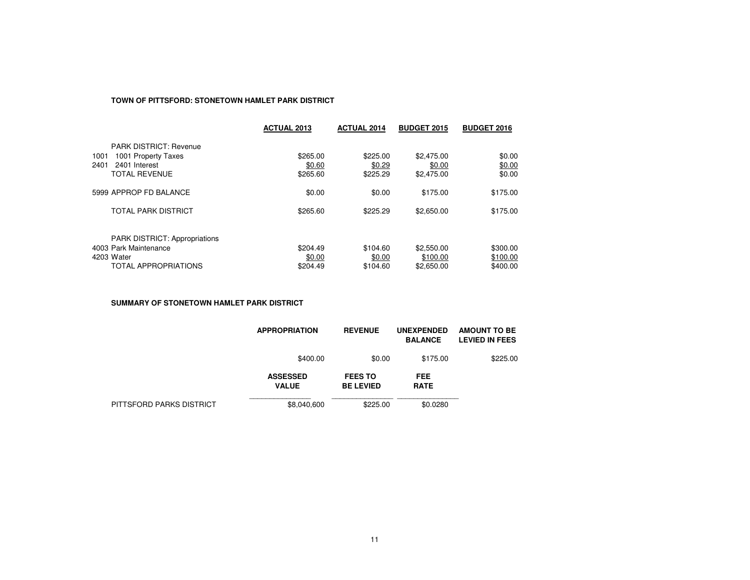# **TOWN OF PITTSFORD: STONETOWN HAMLET PARK DISTRICT**

|                                      | <b>ACTUAL 2013</b> | <b>ACTUAL 2014</b> | <b>BUDGET 2015</b> | <b>BUDGET 2016</b> |
|--------------------------------------|--------------------|--------------------|--------------------|--------------------|
| <b>PARK DISTRICT: Revenue</b>        |                    |                    |                    |                    |
| 1001 Property Taxes<br>1001          | \$265.00           | \$225.00           | \$2,475.00         | \$0.00             |
| 2401<br>2401 Interest                | \$0.60             | \$0.29             | \$0.00             | \$0.00             |
| <b>TOTAL REVENUE</b>                 | \$265.60           | \$225.29           | \$2,475.00         | \$0.00             |
| 5999 APPROP FD BALANCE               | \$0.00             | \$0.00             | \$175.00           | \$175.00           |
| <b>TOTAL PARK DISTRICT</b>           | \$265.60           | \$225.29           | \$2,650.00         | \$175.00           |
| <b>PARK DISTRICT: Appropriations</b> |                    |                    |                    |                    |
| 4003 Park Maintenance                | \$204.49           | \$104.60           | \$2,550.00         | \$300.00           |
| 4203 Water                           | \$0.00             | \$0.00             | \$100.00           | \$100.00           |
| <b>TOTAL APPROPRIATIONS</b>          | \$204.49           | \$104.60           | \$2,650.00         | \$400.00           |

**SUMMARY OF STONETOWN HAMLET PARK DISTRICT**

|                          | <b>APPROPRIATION</b>            | <b>REVENUE</b>                     | <b>UNEXPENDED</b><br><b>BALANCE</b> | <b>AMOUNT TO BE</b><br><b>LEVIED IN FEES</b> |
|--------------------------|---------------------------------|------------------------------------|-------------------------------------|----------------------------------------------|
|                          | \$400.00                        | \$0.00                             | \$175.00                            | \$225.00                                     |
|                          | <b>ASSESSED</b><br><b>VALUE</b> | <b>FEES TO</b><br><b>BE LEVIED</b> | <b>FEE</b><br><b>RATE</b>           |                                              |
| PITTSFORD PARKS DISTRICT | \$8,040,600                     | \$225.00                           | \$0.0280                            |                                              |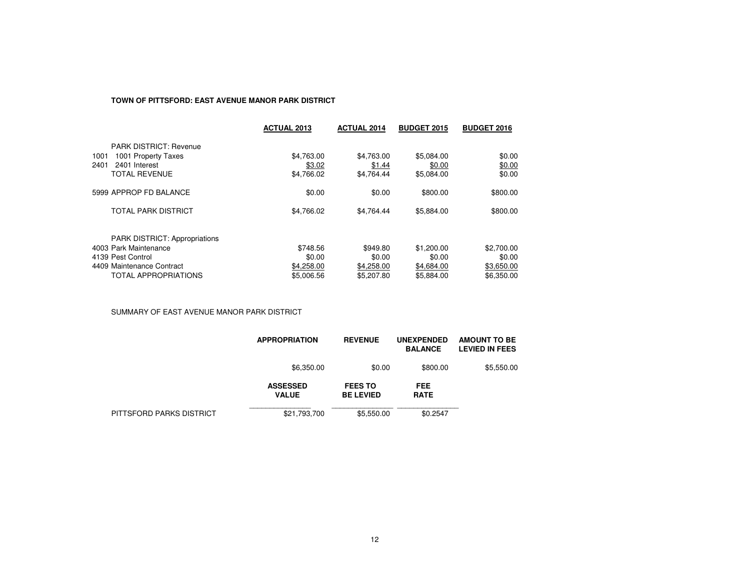# **TOWN OF PITTSFORD: EAST AVENUE MANOR PARK DISTRICT**

|                                                                                                                 | <b>ACTUAL 2013</b>                 | <b>ACTUAL 2014</b>                 | <b>BUDGET 2015</b>                 | <b>BUDGET 2016</b>                 |
|-----------------------------------------------------------------------------------------------------------------|------------------------------------|------------------------------------|------------------------------------|------------------------------------|
| <b>PARK DISTRICT: Revenue</b><br>1001<br>1001 Property Taxes<br>2401 Interest<br>2401<br><b>TOTAL REVENUE</b>   | \$4,763.00<br>\$3.02<br>\$4,766.02 | \$4,763.00<br>\$1.44<br>\$4,764.44 | \$5,084.00<br>\$0.00<br>\$5,084.00 | \$0.00<br>\$0.00<br>\$0.00         |
| 5999 APPROP FD BALANCE<br><b>TOTAL PARK DISTRICT</b>                                                            | \$0.00<br>\$4.766.02               | \$0.00<br>\$4.764.44               | \$800.00<br>\$5,884.00             | \$800.00<br>\$800.00               |
| <b>PARK DISTRICT: Appropriations</b><br>4003 Park Maintenance<br>4139 Pest Control<br>4409 Maintenance Contract | \$748.56<br>\$0.00<br>\$4,258.00   | \$949.80<br>\$0.00<br>\$4,258.00   | \$1,200.00<br>\$0.00<br>\$4,684.00 | \$2,700.00<br>\$0.00<br>\$3,650.00 |
| TOTAL APPROPRIATIONS                                                                                            | \$5,006.56                         | \$5,207.80                         | \$5,884.00                         | \$6,350.00                         |

SUMMARY OF EAST AVENUE MANOR PARK DISTRICT

|                          | <b>APPROPRIATION</b>            | <b>REVENUE</b>                     | <b>UNEXPENDED</b><br><b>BALANCE</b> | <b>AMOUNT TO BE</b><br><b>LEVIED IN FEES</b> |
|--------------------------|---------------------------------|------------------------------------|-------------------------------------|----------------------------------------------|
|                          | \$6,350.00                      | \$0.00                             | \$800.00                            | \$5,550.00                                   |
|                          | <b>ASSESSED</b><br><b>VALUE</b> | <b>FEES TO</b><br><b>BE LEVIED</b> | <b>FEE</b><br><b>RATE</b>           |                                              |
| PITTSFORD PARKS DISTRICT | \$21,793,700                    | \$5,550.00                         | \$0.2547                            |                                              |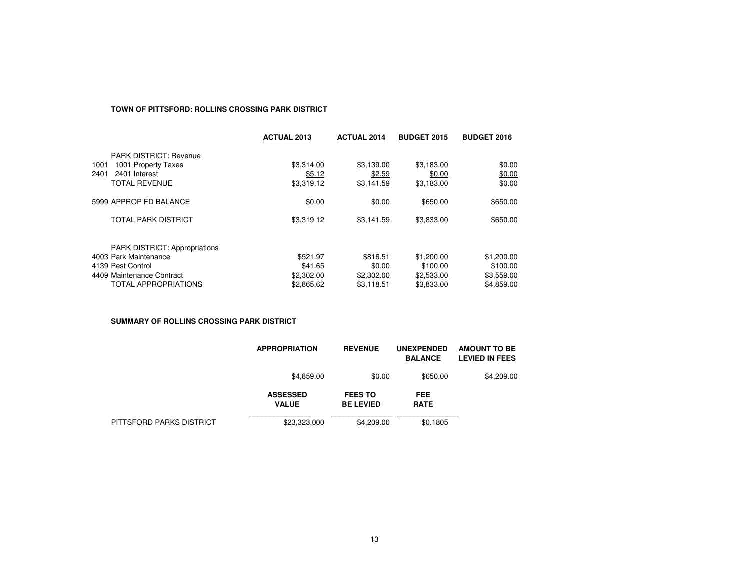### **TOWN OF PITTSFORD: ROLLINS CROSSING PARK DISTRICT**

|                                                               | <b>ACTUAL 2013</b> | <b>ACTUAL 2014</b> | <b>BUDGET 2015</b> | <b>BUDGET 2016</b> |
|---------------------------------------------------------------|--------------------|--------------------|--------------------|--------------------|
| <b>PARK DISTRICT: Revenue</b>                                 |                    |                    |                    |                    |
| 1001 Property Taxes<br>1001                                   | \$3,314.00         | \$3,139.00         | \$3,183.00         | \$0.00             |
| 2401<br>2401 Interest                                         | \$5.12             | \$2.59             | \$0.00             | \$0.00             |
| <b>TOTAL REVENUE</b>                                          | \$3,319.12         | \$3,141.59         | \$3,183.00         | \$0.00             |
| 5999 APPROP FD BALANCE                                        | \$0.00             | \$0.00             | \$650.00           | \$650.00           |
| <b>TOTAL PARK DISTRICT</b>                                    | \$3,319.12         | \$3,141.59         | \$3,833.00         | \$650.00           |
|                                                               |                    |                    |                    |                    |
| <b>PARK DISTRICT: Appropriations</b><br>4003 Park Maintenance | \$521.97           | \$816.51           | \$1,200.00         | \$1,200.00         |
| 4139 Pest Control                                             | \$41.65            | \$0.00             | \$100.00           | \$100.00           |
| 4409 Maintenance Contract                                     | \$2,302.00         | \$2,302.00         | \$2,533.00         | \$3,559.00         |
| <b>TOTAL APPROPRIATIONS</b>                                   | \$2,865.62         | \$3,118.51         | \$3.833.00         | \$4.859.00         |

**SUMMARY OF ROLLINS CROSSING PARK DISTRICT**

|                          | <b>APPROPRIATION</b>            | <b>REVENUE</b>                     | <b>UNEXPENDED</b><br><b>BALANCE</b> | <b>AMOUNT TO BE</b><br><b>LEVIED IN FEES</b> |
|--------------------------|---------------------------------|------------------------------------|-------------------------------------|----------------------------------------------|
|                          | \$4,859.00                      | \$0.00                             | \$650.00                            | \$4,209.00                                   |
|                          | <b>ASSESSED</b><br><b>VALUE</b> | <b>FEES TO</b><br><b>BE LEVIED</b> | <b>FEE</b><br><b>RATE</b>           |                                              |
| PITTSFORD PARKS DISTRICT | \$23,323,000                    | \$4,209.00                         | \$0.1805                            |                                              |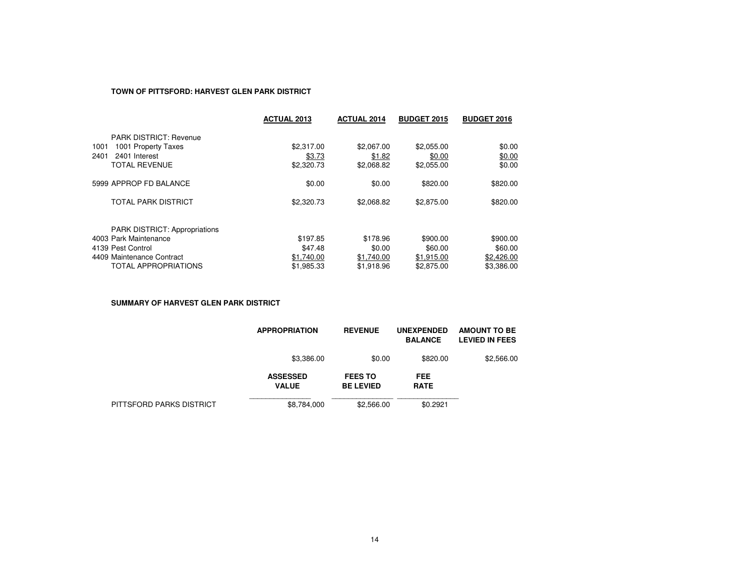### **TOWN OF PITTSFORD: HARVEST GLEN PARK DISTRICT**

|                                      | <b>ACTUAL 2013</b> | <b>ACTUAL 2014</b> | <b>BUDGET 2015</b> | <b>BUDGET 2016</b> |
|--------------------------------------|--------------------|--------------------|--------------------|--------------------|
| <b>PARK DISTRICT: Revenue</b>        |                    |                    |                    |                    |
| 1001 Property Taxes<br>1001          | \$2,317.00         | \$2,067.00         | \$2,055.00         | \$0.00             |
| 2401 Interest<br>2401                | \$3.73             | \$1.82             | \$0.00             | \$0.00             |
| <b>TOTAL REVENUE</b>                 | \$2,320.73         | \$2,068.82         | \$2,055.00         | \$0.00             |
| 5999 APPROP FD BALANCE               | \$0.00             | \$0.00             | \$820.00           | \$820.00           |
| <b>TOTAL PARK DISTRICT</b>           | \$2,320.73         | \$2,068.82         | \$2,875.00         | \$820.00           |
| <b>PARK DISTRICT: Appropriations</b> |                    |                    |                    |                    |
| 4003 Park Maintenance                | \$197.85           | \$178.96           | \$900.00           | \$900.00           |
| 4139 Pest Control                    | \$47.48            | \$0.00             | \$60.00            | \$60.00            |
| 4409 Maintenance Contract            | \$1,740.00         | \$1,740.00         | \$1.915.00         | \$2,426.00         |
| <b>TOTAL APPROPRIATIONS</b>          | \$1.985.33         | \$1.918.96         | \$2,875.00         | \$3.386.00         |

**SUMMARY OF HARVEST GLEN PARK DISTRICT**

|                          | <b>APPROPRIATION</b>            | <b>REVENUE</b>                     | <b>UNEXPENDED</b><br><b>BALANCE</b> | <b>AMOUNT TO BE</b><br><b>LEVIED IN FEES</b> |
|--------------------------|---------------------------------|------------------------------------|-------------------------------------|----------------------------------------------|
|                          | \$3,386.00                      | \$0.00                             | \$820.00                            | \$2,566.00                                   |
|                          | <b>ASSESSED</b><br><b>VALUE</b> | <b>FEES TO</b><br><b>BE LEVIED</b> | <b>FEE</b><br><b>RATE</b>           |                                              |
| PITTSFORD PARKS DISTRICT | \$8,784,000                     | \$2,566.00                         | \$0.2921                            |                                              |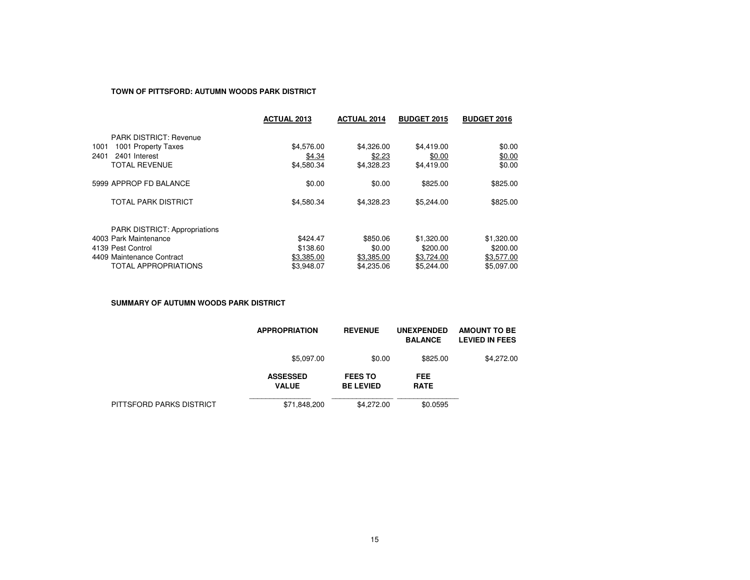### **TOWN OF PITTSFORD: AUTUMN WOODS PARK DISTRICT**

|                                      | <b>ACTUAL 2013</b> | <b>ACTUAL 2014</b> | <b>BUDGET 2015</b> | <b>BUDGET 2016</b> |
|--------------------------------------|--------------------|--------------------|--------------------|--------------------|
| <b>PARK DISTRICT: Revenue</b>        |                    |                    |                    |                    |
| 1001 Property Taxes<br>1001          | \$4,576.00         | \$4,326.00         | \$4,419.00         | \$0.00             |
| 2401<br>2401 Interest                | \$4.34             | \$2.23             | \$0.00             | \$0.00             |
| <b>TOTAL REVENUE</b>                 | \$4,580.34         | \$4,328.23         | \$4.419.00         | \$0.00             |
| 5999 APPROP FD BALANCE               | \$0.00             | \$0.00             | \$825.00           | \$825.00           |
| <b>TOTAL PARK DISTRICT</b>           | \$4,580.34         | \$4,328,23         | \$5,244.00         | \$825.00           |
| <b>PARK DISTRICT: Appropriations</b> |                    |                    |                    |                    |
| 4003 Park Maintenance                | \$424.47           | \$850.06           | \$1,320.00         | \$1,320.00         |
| 4139 Pest Control                    | \$138.60           | \$0.00             | \$200.00           | \$200.00           |
| 4409 Maintenance Contract            | \$3,385.00         | \$3,385.00         | \$3,724.00         | \$3,577.00         |
| <b>TOTAL APPROPRIATIONS</b>          | \$3.948.07         | \$4,235.06         | \$5.244.00         | \$5.097.00         |

**SUMMARY OF AUTUMN WOODS PARK DISTRICT**

|                          | <b>APPROPRIATION</b>            | <b>REVENUE</b>                     | <b>UNEXPENDED</b><br><b>BALANCE</b> | <b>AMOUNT TO BE</b><br><b>LEVIED IN FEES</b> |
|--------------------------|---------------------------------|------------------------------------|-------------------------------------|----------------------------------------------|
|                          | \$5,097.00                      | \$0.00                             | \$825.00                            | \$4,272.00                                   |
|                          | <b>ASSESSED</b><br><b>VALUE</b> | <b>FEES TO</b><br><b>BE LEVIED</b> | <b>FEE</b><br><b>RATE</b>           |                                              |
| PITTSFORD PARKS DISTRICT | \$71,848,200                    | \$4,272.00                         | \$0.0595                            |                                              |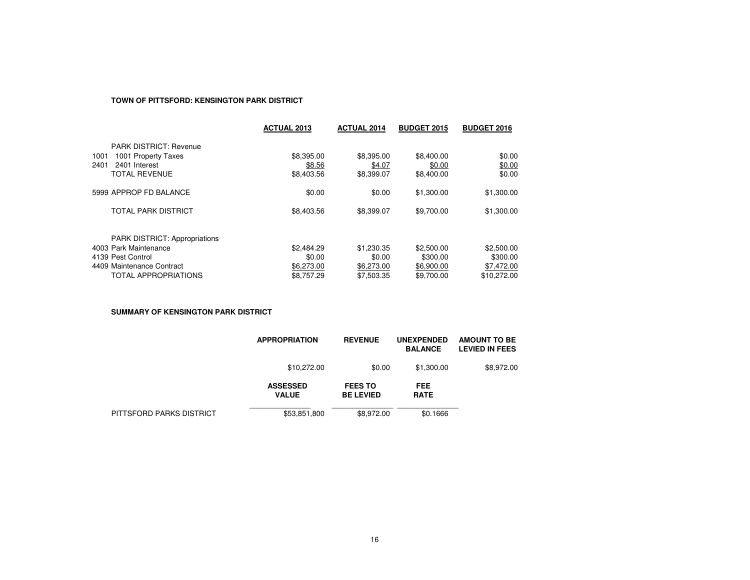## **TOWN OF PITTSFORD: KENSINGTON PARK DISTRICT**

|                                                                                                                                                | <b>ACTUAL 2013</b>                               | <b>ACTUAL 2014</b>                               | <b>BUDGET 2015</b>                                 | <b>BUDGET 2016</b>                                  |
|------------------------------------------------------------------------------------------------------------------------------------------------|--------------------------------------------------|--------------------------------------------------|----------------------------------------------------|-----------------------------------------------------|
| <b>PARK DISTRICT: Revenue</b><br>1001 Property Taxes<br>1001<br>2401<br>2401 Interest<br><b>TOTAL REVENUE</b>                                  | \$8,395.00<br>\$8.56<br>\$8,403.56               | \$8,395.00<br>\$4.07<br>\$8,399.07               | \$8,400.00<br>\$0.00<br>\$8,400.00                 | \$0.00<br>\$0.00<br>\$0.00                          |
| 5999 APPROP FD BALANCE                                                                                                                         | \$0.00                                           | \$0.00                                           | \$1,300.00                                         | \$1,300.00                                          |
| <b>TOTAL PARK DISTRICT</b>                                                                                                                     | \$8,403.56                                       | \$8,399.07                                       | \$9,700.00                                         | \$1,300.00                                          |
| <b>PARK DISTRICT: Appropriations</b><br>4003 Park Maintenance<br>4139 Pest Control<br>4409 Maintenance Contract<br><b>TOTAL APPROPRIATIONS</b> | \$2,484.29<br>\$0.00<br>\$6,273.00<br>\$8,757.29 | \$1,230.35<br>\$0.00<br>\$6,273,00<br>\$7.503.35 | \$2,500.00<br>\$300.00<br>\$6,900.00<br>\$9,700.00 | \$2,500.00<br>\$300.00<br>\$7,472.00<br>\$10.272.00 |

**SUMMARY OF KENSINGTON PARK DISTRICT**

|                          | <b>APPROPRIATION</b>            | <b>REVENUE</b>                     | <b>UNEXPENDED</b><br><b>BALANCE</b> | <b>AMOUNT TO BE</b><br><b>LEVIED IN FEES</b> |
|--------------------------|---------------------------------|------------------------------------|-------------------------------------|----------------------------------------------|
|                          | \$10,272.00                     | \$0.00                             | \$1,300.00                          | \$8,972.00                                   |
|                          | <b>ASSESSED</b><br><b>VALUE</b> | <b>FEES TO</b><br><b>BE LEVIED</b> | <b>FEE</b><br><b>RATE</b>           |                                              |
| PITTSFORD PARKS DISTRICT | \$53,851,800                    | \$8,972.00                         | \$0.1666                            |                                              |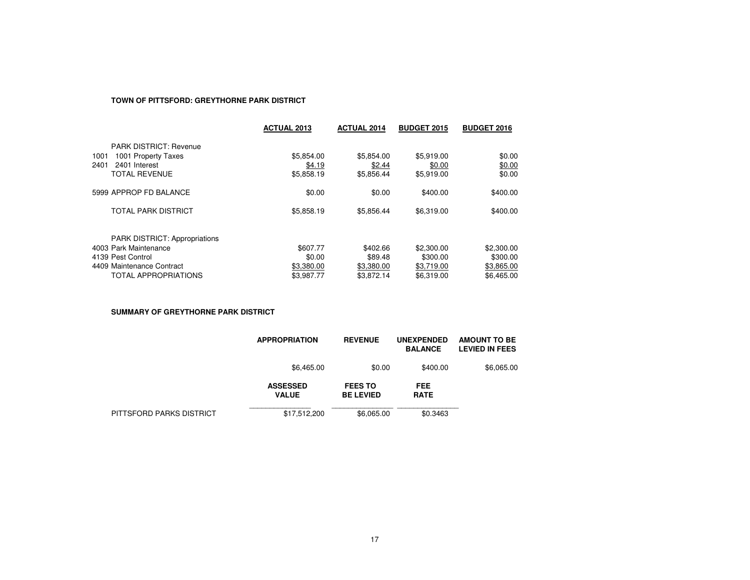# **TOWN OF PITTSFORD: GREYTHORNE PARK DISTRICT**

|                                                      | <b>ACTUAL 2013</b> | <b>ACTUAL 2014</b> | <b>BUDGET 2015</b> | <b>BUDGET 2016</b> |
|------------------------------------------------------|--------------------|--------------------|--------------------|--------------------|
| <b>PARK DISTRICT: Revenue</b>                        |                    |                    |                    |                    |
| 1001 Property Taxes<br>1001<br>2401 Interest<br>2401 | \$5,854.00         | \$5,854.00         | \$5,919.00         | \$0.00             |
|                                                      | \$4.19             | \$2.44             | \$0.00             | \$0.00             |
| <b>TOTAL REVENUE</b>                                 | \$5,858.19         | \$5,856.44         | \$5,919.00         | \$0.00             |
| 5999 APPROP FD BALANCE                               | \$0.00             | \$0.00             | \$400.00           | \$400.00           |
| <b>TOTAL PARK DISTRICT</b>                           | \$5,858.19         | \$5.856.44         | \$6,319.00         | \$400.00           |
| <b>PARK DISTRICT: Appropriations</b>                 |                    |                    |                    |                    |
| 4003 Park Maintenance                                | \$607.77           | \$402.66           | \$2,300.00         | \$2,300.00         |
| 4139 Pest Control                                    | \$0.00             | \$89.48            | \$300.00           | \$300.00           |
| 4409 Maintenance Contract                            | \$3,380.00         | \$3,380.00         | \$3,719.00         | \$3,865.00         |
| <b>TOTAL APPROPRIATIONS</b>                          | \$3.987.77         | \$3.872.14         | \$6.319.00         | \$6,465.00         |
|                                                      |                    |                    |                    |                    |

**SUMMARY OF GREYTHORNE PARK DISTRICT**

|                          | <b>APPROPRIATION</b>            | <b>REVENUE</b>                     | <b>UNEXPENDED</b><br><b>BALANCE</b> | <b>AMOUNT TO BE</b><br><b>LEVIED IN FEES</b> |
|--------------------------|---------------------------------|------------------------------------|-------------------------------------|----------------------------------------------|
|                          | \$6,465.00                      | \$0.00                             | \$400.00                            | \$6,065.00                                   |
|                          | <b>ASSESSED</b><br><b>VALUE</b> | <b>FEES TO</b><br><b>BE LEVIED</b> | <b>FEE</b><br><b>RATE</b>           |                                              |
| PITTSFORD PARKS DISTRICT | \$17,512,200                    | \$6,065.00                         | \$0.3463                            |                                              |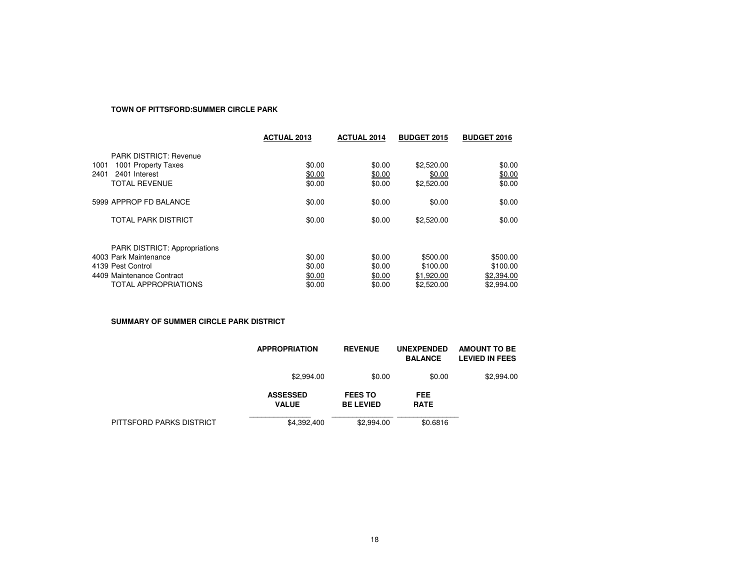### **TOWN OF PITTSFORD:SUMMER CIRCLE PARK**

|                               | <b>ACTUAL 2013</b> | <b>ACTUAL 2014</b> | <b>BUDGET 2015</b> | <b>BUDGET 2016</b> |
|-------------------------------|--------------------|--------------------|--------------------|--------------------|
| <b>PARK DISTRICT: Revenue</b> |                    |                    |                    |                    |
| 1001<br>1001 Property Taxes   | \$0.00             | \$0.00             | \$2,520.00         | \$0.00             |
| 2401 Interest<br>2401         | \$0.00             | \$0.00             | \$0.00             | \$0.00             |
| <b>TOTAL REVENUE</b>          | \$0.00             | \$0.00             | \$2,520.00         | \$0.00             |
| 5999 APPROP FD BALANCE        | \$0.00             | \$0.00             | \$0.00             | \$0.00             |
| <b>TOTAL PARK DISTRICT</b>    | \$0.00             | \$0.00             | \$2,520.00         | \$0.00             |
|                               |                    |                    |                    |                    |
| PARK DISTRICT: Appropriations |                    |                    |                    |                    |
| 4003 Park Maintenance         | \$0.00             | \$0.00             | \$500.00           | \$500.00           |
| 4139 Pest Control             | \$0.00             | \$0.00             | \$100.00           | \$100.00           |
| 4409 Maintenance Contract     | \$0.00             | \$0.00             | \$1,920.00         | \$2,394.00         |
| <b>TOTAL APPROPRIATIONS</b>   | \$0.00             | \$0.00             | \$2,520.00         | \$2,994.00         |

**SUMMARY OF SUMMER CIRCLE PARK DISTRICT**

|                          | <b>APPROPRIATION</b>            | <b>REVENUE</b>                     | <b>UNEXPENDED</b><br><b>BALANCE</b> | <b>AMOUNT TO BE</b><br><b>LEVIED IN FEES</b> |
|--------------------------|---------------------------------|------------------------------------|-------------------------------------|----------------------------------------------|
|                          | \$2,994.00                      | \$0.00                             | \$0.00                              | \$2,994.00                                   |
|                          | <b>ASSESSED</b><br><b>VALUE</b> | <b>FEES TO</b><br><b>BE LEVIED</b> | <b>FEE</b><br><b>RATE</b>           |                                              |
| PITTSFORD PARKS DISTRICT | \$4,392,400                     | \$2,994.00                         | \$0.6816                            |                                              |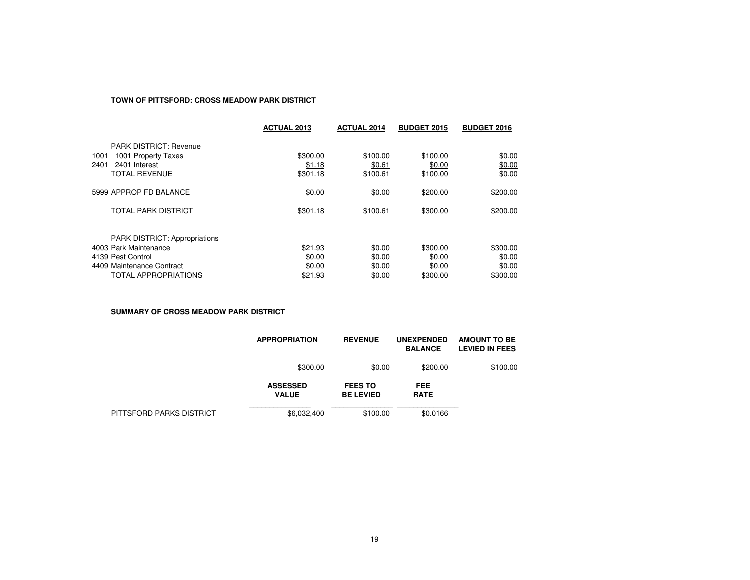# **TOWN OF PITTSFORD: CROSS MEADOW PARK DISTRICT**

|                                                                                                                                         | <b>ACTUAL 2013</b>                     | <b>ACTUAL 2014</b>                   | <b>BUDGET 2015</b>                       | <b>BUDGET 2016</b>                       |
|-----------------------------------------------------------------------------------------------------------------------------------------|----------------------------------------|--------------------------------------|------------------------------------------|------------------------------------------|
| <b>PARK DISTRICT: Revenue</b><br>1001 Property Taxes<br>1001<br>2401 Interest<br>2401<br><b>TOTAL REVENUE</b>                           | \$300.00<br>\$1.18<br>\$301.18         | \$100.00<br>\$0.61<br>\$100.61       | \$100.00<br>\$0.00<br>\$100.00           | \$0.00<br>\$0.00<br>\$0.00               |
| 5999 APPROP FD BALANCE                                                                                                                  | \$0.00                                 | \$0.00                               | \$200.00                                 | \$200.00                                 |
| <b>TOTAL PARK DISTRICT</b>                                                                                                              | \$301.18                               | \$100.61                             | \$300.00                                 | \$200.00                                 |
| <b>PARK DISTRICT: Appropriations</b><br>4003 Park Maintenance<br>4139 Pest Control<br>4409 Maintenance Contract<br>TOTAL APPROPRIATIONS | \$21.93<br>\$0.00<br>\$0.00<br>\$21.93 | \$0.00<br>\$0.00<br>\$0.00<br>\$0.00 | \$300.00<br>\$0.00<br>\$0.00<br>\$300.00 | \$300.00<br>\$0.00<br>\$0.00<br>\$300.00 |

**SUMMARY OF CROSS MEADOW PARK DISTRICT**

|                          | <b>APPROPRIATION</b>            | <b>REVENUE</b>                     | <b>UNEXPENDED</b><br><b>BALANCE</b> | <b>AMOUNT TO BE</b><br><b>LEVIED IN FEES</b> |
|--------------------------|---------------------------------|------------------------------------|-------------------------------------|----------------------------------------------|
|                          | \$300.00                        | \$0.00                             | \$200.00                            | \$100.00                                     |
|                          | <b>ASSESSED</b><br><b>VALUE</b> | <b>FEES TO</b><br><b>BE LEVIED</b> | <b>FEE</b><br><b>RATE</b>           |                                              |
| PITTSFORD PARKS DISTRICT | \$6,032,400                     | \$100.00                           | \$0.0166                            |                                              |